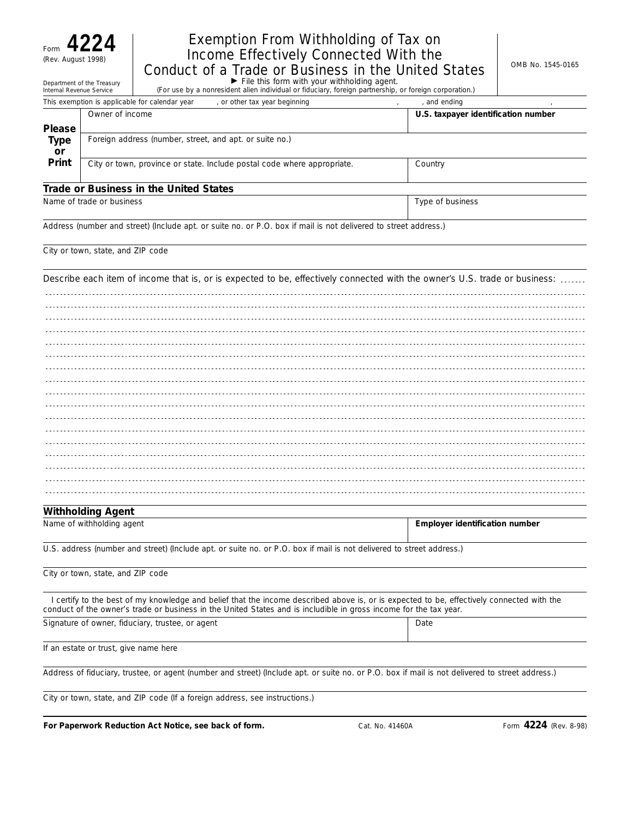Form **4224**

## Exemption From Withholding of Tax on Income Effectively Connected With the  $C^{(Rev. \; August\; 1998)}$  Conduct of a Trade or Business in the United States  $\Big|$ <sup>OMB No. 1545-0165</sup>

| Department of the Treasury | $\blacktriangleright$ File this form with your withholding agent.                                      |
|----------------------------|--------------------------------------------------------------------------------------------------------|
| Internal Revenue Service   | (For use by a nonresident alien individual or fiduciary, foreign partnership, or foreign corporation.) |

|               | This exemption is applicable for calendar year<br>, or other tax year beginning | . and ending                        |
|---------------|---------------------------------------------------------------------------------|-------------------------------------|
|               | Owner of income                                                                 | U.S. taxpayer identification number |
| <b>Please</b> |                                                                                 |                                     |
| Type          | Foreign address (number, street, and apt. or suite no.)                         |                                     |
| <b>or</b>     |                                                                                 |                                     |
| Print         | City or town, province or state. Include postal code where appropriate.         | Country                             |
|               |                                                                                 |                                     |
|               | Trade or Dustress to the Hotted Ctates                                          |                                     |

#### **Trade or Business in the United States**

Name of trade or business **Type of business** Type of business and the business of trade or business and the business

Address (number and street) (Include apt. or suite no. or P.O. box if mail is not delivered to street address.)

City or town, state, and ZIP code

| Describe each item of income that is, or is expected to be, effectively connected with the owner's U.S. trade or business: |
|----------------------------------------------------------------------------------------------------------------------------|
|                                                                                                                            |
|                                                                                                                            |
|                                                                                                                            |
|                                                                                                                            |
|                                                                                                                            |
|                                                                                                                            |
|                                                                                                                            |
|                                                                                                                            |
|                                                                                                                            |
|                                                                                                                            |
|                                                                                                                            |
|                                                                                                                            |
|                                                                                                                            |
|                                                                                                                            |

#### **Withholding Agent**

| Name<br>of withholding agent | Emplover identification number |
|------------------------------|--------------------------------|
|                              |                                |

U.S. address (number and street) (Include apt. or suite no. or P.O. box if mail is not delivered to street address.)

City or town, state, and ZIP code

I certify to the best of my knowledge and belief that the income described above is, or is expected to be, effectively connected with the conduct of the owner's trade or business in the United States and is includible in gross income for the tax year.

Signature of owner, fiduciary, trustee, or agent Date

If an estate or trust, give name here

Address of fiduciary, trustee, or agent (number and street) (Include apt. or suite no. or P.O. box if mail is not delivered to street address.)

City or town, state, and ZIP code (If a foreign address, see instructions.)

**For Paperwork Reduction Act Notice, see back of form.** Cat. No. 41460A Form **4224** (Rev. 8-98)